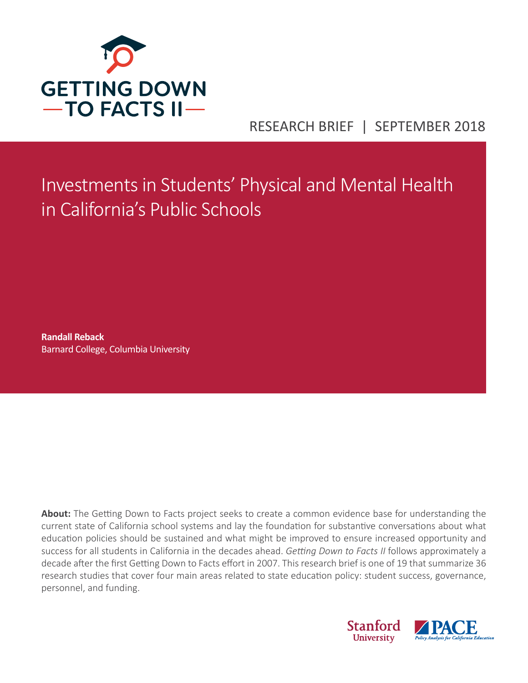

# RESEARCH BRIEF | SEPTEMBER 2018

Investments in Students' Physical and Mental Health in California's Public Schools

**Randall Reback**  Barnard College, Columbia University

**About:** The Getting Down to Facts project seeks to create a common evidence base for understanding the current state of California school systems and lay the foundation for substantive conversations about what education policies should be sustained and what might be improved to ensure increased opportunity and success for all students in California in the decades ahead. *Getting Down to Facts II* follows approximately a decade after the first Getting Down to Facts effort in 2007. This research brief is one of 19 that summarize 36 research studies that cover four main areas related to state education policy: student success, governance, personnel, and funding.

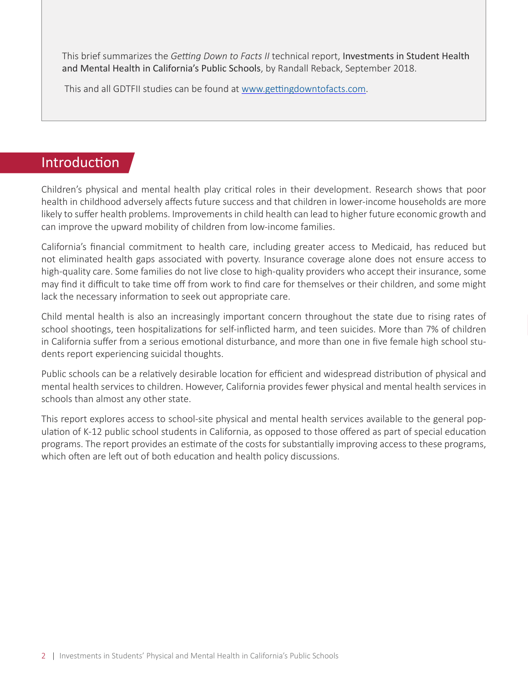This brief summarizes the *Getting Down to Facts II* technical report, Investments in Student Health and Mental Health in California's Public Schools, by Randall Reback, September 2018.

This and all GDTFII studies can be found at [www.gettingdowntofacts.com](http://www.gettingdowntofacts.com).

# **Introduction**

Children's physical and mental health play critical roles in their development. Research shows that poor health in childhood adversely affects future success and that children in lower-income households are more likely to suffer health problems. Improvements in child health can lead to higher future economic growth and can improve the upward mobility of children from low-income families.

California's financial commitment to health care, including greater access to Medicaid, has reduced but not eliminated health gaps associated with poverty. Insurance coverage alone does not ensure access to high-quality care. Some families do not live close to high-quality providers who accept their insurance, some may find it difficult to take time off from work to find care for themselves or their children, and some might lack the necessary information to seek out appropriate care.

Child mental health is also an increasingly important concern throughout the state due to rising rates of school shootings, teen hospitalizations for self-inflicted harm, and teen suicides. More than 7% of children in California suffer from a serious emotional disturbance, and more than one in five female high school students report experiencing suicidal thoughts.

Public schools can be a relatively desirable location for efficient and widespread distribution of physical and mental health services to children. However, California provides fewer physical and mental health services in schools than almost any other state.

This report explores access to school-site physical and mental health services available to the general population of K-12 public school students in California, as opposed to those offered as part of special education programs. The report provides an estimate of the costs for substantially improving access to these programs, which often are left out of both education and health policy discussions.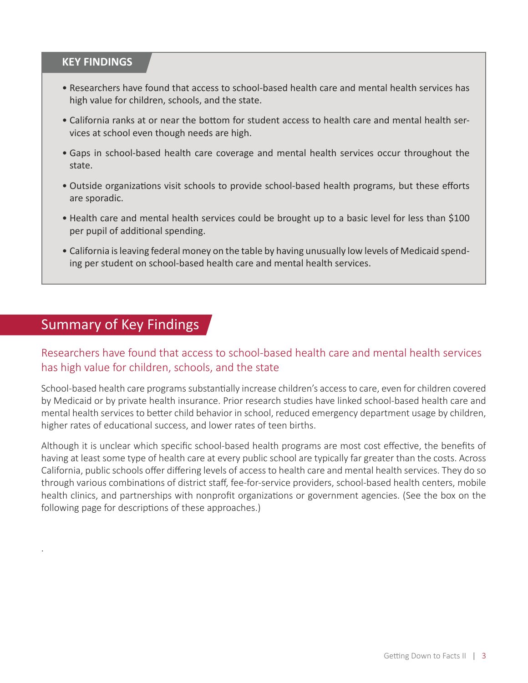### **KEY FINDINGS**

- Researchers have found that access to school-based health care and mental health services has high value for children, schools, and the state.
- California ranks at or near the bottom for student access to health care and mental health services at school even though needs are high.
- Gaps in school-based health care coverage and mental health services occur throughout the state.
- Outside organizations visit schools to provide school-based health programs, but these efforts are sporadic.
- Health care and mental health services could be brought up to a basic level for less than \$100 per pupil of additional spending.
- California is leaving federal money on the table by having unusually low levels of Medicaid spending per student on school-based health care and mental health services.

# Summary of Key Findings

.

### Researchers have found that access to school-based health care and mental health services has high value for children, schools, and the state

School-based health care programs substantially increase children's access to care, even for children covered by Medicaid or by private health insurance. Prior research studies have linked school-based health care and mental health services to better child behavior in school, reduced emergency department usage by children, higher rates of educational success, and lower rates of teen births.

Although it is unclear which specific school-based health programs are most cost effective, the benefits of having at least some type of health care at every public school are typically far greater than the costs. Across California, public schools offer differing levels of access to health care and mental health services. They do so through various combinations of district staff, fee-for-service providers, school-based health centers, mobile health clinics, and partnerships with nonprofit organizations or government agencies. (See the box on the following page for descriptions of these approaches.)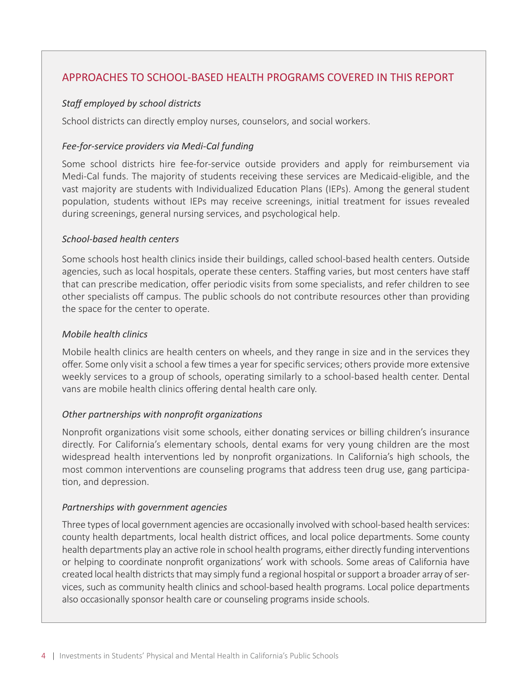### APPROACHES TO SCHOOL-BASED HEALTH PROGRAMS COVERED IN THIS REPORT

#### *Staff employed by school districts*

School districts can directly employ nurses, counselors, and social workers.

#### *Fee-for-service providers via Medi-Cal funding*

Some school districts hire fee-for-service outside providers and apply for reimbursement via Medi-Cal funds. The majority of students receiving these services are Medicaid-eligible, and the vast majority are students with Individualized Education Plans (IEPs). Among the general student population, students without IEPs may receive screenings, initial treatment for issues revealed during screenings, general nursing services, and psychological help.

#### *School-based health centers*

Some schools host health clinics inside their buildings, called school-based health centers. Outside agencies, such as local hospitals, operate these centers. Staffing varies, but most centers have staff that can prescribe medication, offer periodic visits from some specialists, and refer children to see other specialists off campus. The public schools do not contribute resources other than providing the space for the center to operate.

#### *Mobile health clinics*

Mobile health clinics are health centers on wheels, and they range in size and in the services they offer. Some only visit a school a few times a year for specific services; others provide more extensive weekly services to a group of schools, operating similarly to a school-based health center. Dental vans are mobile health clinics offering dental health care only.

### *Other partnerships with nonprofit organizations*

Nonprofit organizations visit some schools, either donating services or billing children's insurance directly. For California's elementary schools, dental exams for very young children are the most widespread health interventions led by nonprofit organizations. In California's high schools, the most common interventions are counseling programs that address teen drug use, gang participation, and depression.

### *Partnerships with government agencies*

Three types of local government agencies are occasionally involved with school-based health services: county health departments, local health district offices, and local police departments. Some county health departments play an active role in school health programs, either directly funding interventions or helping to coordinate nonprofit organizations' work with schools. Some areas of California have created local health districts that may simply fund a regional hospital or support a broader array of services, such as community health clinics and school-based health programs. Local police departments also occasionally sponsor health care or counseling programs inside schools.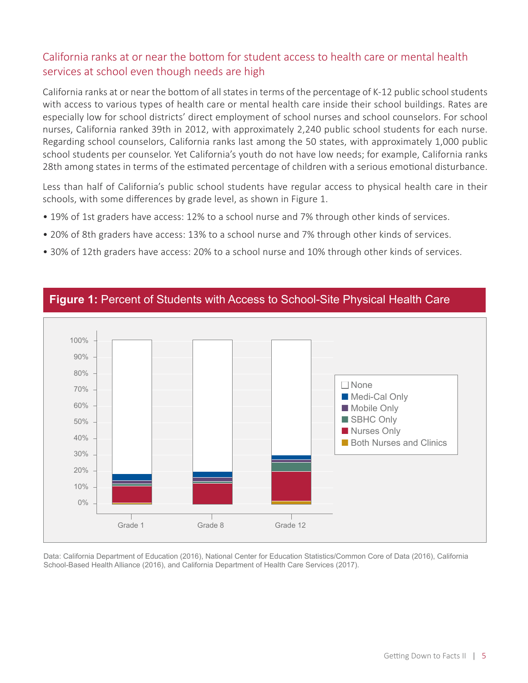### California ranks at or near the bottom for student access to health care or mental health services at school even though needs are high

California ranks at or near the bottom of all states in terms of the percentage of K-12 public school students with access to various types of health care or mental health care inside their school buildings. Rates are especially low for school districts' direct employment of school nurses and school counselors. For school nurses, California ranked 39th in 2012, with approximately 2,240 public school students for each nurse. Regarding school counselors, California ranks last among the 50 states, with approximately 1,000 public school students per counselor. Yet California's youth do not have low needs; for example, California ranks 28th among states in terms of the estimated percentage of children with a serious emotional disturbance.

Less than half of California's public school students have regular access to physical health care in their schools, with some differences by grade level, as shown in Figure 1.

- 19% of 1st graders have access: 12% to a school nurse and 7% through other kinds of services.
- 20% of 8th graders have access: 13% to a school nurse and 7% through other kinds of services.
- 30% of 12th graders have access: 20% to a school nurse and 10% through other kinds of services.



### **Figure 1:** Percent of Students with Access to School-Site Physical Health Care

Data: California Department of Education (2016), National Center for Education Statistics/Common Core of Data (2016), California School-Based Health Alliance (2016), and California Department of Health Care Services (2017).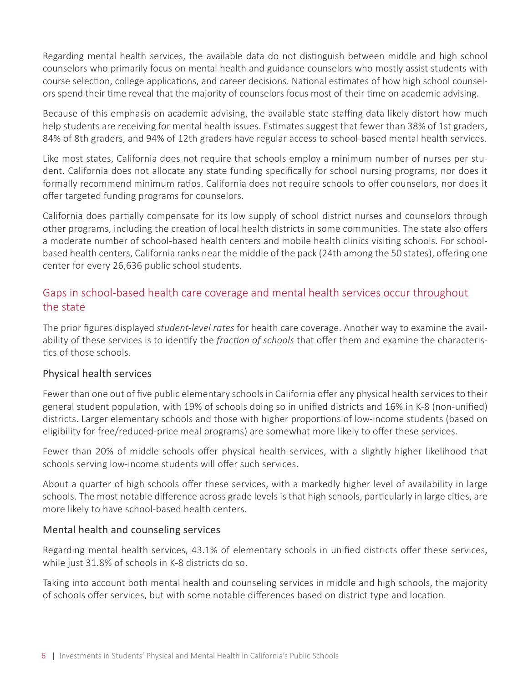Regarding mental health services, the available data do not distinguish between middle and high school counselors who primarily focus on mental health and guidance counselors who mostly assist students with course selection, college applications, and career decisions. National estimates of how high school counselors spend their time reveal that the majority of counselors focus most of their time on academic advising.

Because of this emphasis on academic advising, the available state staffing data likely distort how much help students are receiving for mental health issues. Estimates suggest that fewer than 38% of 1st graders, 84% of 8th graders, and 94% of 12th graders have regular access to school-based mental health services.

Like most states, California does not require that schools employ a minimum number of nurses per student. California does not allocate any state funding specifically for school nursing programs, nor does it formally recommend minimum ratios. California does not require schools to offer counselors, nor does it offer targeted funding programs for counselors.

California does partially compensate for its low supply of school district nurses and counselors through other programs, including the creation of local health districts in some communities. The state also offers a moderate number of school-based health centers and mobile health clinics visiting schools. For schoolbased health centers, California ranks near the middle of the pack (24th among the 50 states), offering one center for every 26,636 public school students.

### Gaps in school-based health care coverage and mental health services occur throughout the state

The prior figures displayed *student-level rates* for health care coverage. Another way to examine the availability of these services is to identify the *fraction of schools* that offer them and examine the characteristics of those schools.

### Physical health services

Fewer than one out of five public elementary schools in California offer any physical health services to their general student population, with 19% of schools doing so in unified districts and 16% in K-8 (non-unified) districts. Larger elementary schools and those with higher proportions of low-income students (based on eligibility for free/reduced-price meal programs) are somewhat more likely to offer these services.

Fewer than 20% of middle schools offer physical health services, with a slightly higher likelihood that schools serving low-income students will offer such services.

About a quarter of high schools offer these services, with a markedly higher level of availability in large schools. The most notable difference across grade levels is that high schools, particularly in large cities, are more likely to have school-based health centers.

### Mental health and counseling services

Regarding mental health services, 43.1% of elementary schools in unified districts offer these services, while just 31.8% of schools in K-8 districts do so.

Taking into account both mental health and counseling services in middle and high schools, the majority of schools offer services, but with some notable differences based on district type and location.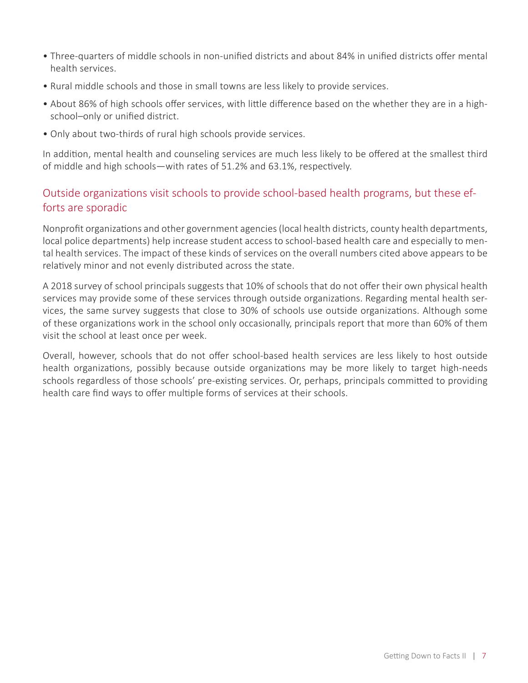- Three-quarters of middle schools in non-unified districts and about 84% in unified districts offer mental health services.
- Rural middle schools and those in small towns are less likely to provide services.
- About 86% of high schools offer services, with little difference based on the whether they are in a highschool–only or unified district.
- Only about two-thirds of rural high schools provide services.

In addition, mental health and counseling services are much less likely to be offered at the smallest third of middle and high schools—with rates of 51.2% and 63.1%, respectively.

### Outside organizations visit schools to provide school-based health programs, but these efforts are sporadic

Nonprofit organizations and other government agencies (local health districts, county health departments, local police departments) help increase student access to school-based health care and especially to mental health services. The impact of these kinds of services on the overall numbers cited above appears to be relatively minor and not evenly distributed across the state.

A 2018 survey of school principals suggests that 10% of schools that do not offer their own physical health services may provide some of these services through outside organizations. Regarding mental health services, the same survey suggests that close to 30% of schools use outside organizations. Although some of these organizations work in the school only occasionally, principals report that more than 60% of them visit the school at least once per week.

Overall, however, schools that do not offer school-based health services are less likely to host outside health organizations, possibly because outside organizations may be more likely to target high-needs schools regardless of those schools' pre-existing services. Or, perhaps, principals committed to providing health care find ways to offer multiple forms of services at their schools.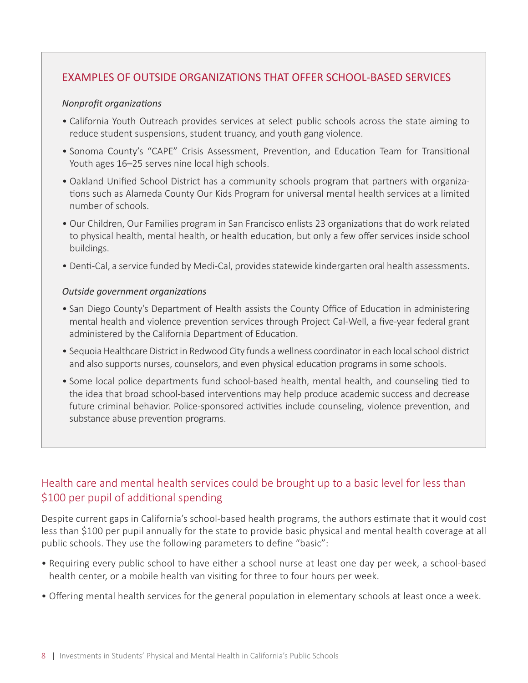### EXAMPLES OF OUTSIDE ORGANIZATIONS THAT OFFER SCHOOL-BASED SERVICES

#### *Nonprofit organizations*

- California Youth Outreach provides services at select public schools across the state aiming to reduce student suspensions, student truancy, and youth gang violence.
- Sonoma County's "CAPE" Crisis Assessment, Prevention, and Education Team for Transitional Youth ages 16–25 serves nine local high schools.
- Oakland Unified School District has a community schools program that partners with organizations such as Alameda County Our Kids Program for universal mental health services at a limited number of schools.
- Our Children, Our Families program in San Francisco enlists 23 organizations that do work related to physical health, mental health, or health education, but only a few offer services inside school buildings.
- Denti-Cal, a service funded by Medi-Cal, provides statewide kindergarten oral health assessments.

#### *Outside government organizations*

- San Diego County's Department of Health assists the County Office of Education in administering mental health and violence prevention services through Project Cal-Well, a five-year federal grant administered by the California Department of Education.
- Sequoia Healthcare District in Redwood City funds a wellness coordinator in each local school district and also supports nurses, counselors, and even physical education programs in some schools.
- Some local police departments fund school-based health, mental health, and counseling tied to the idea that broad school-based interventions may help produce academic success and decrease future criminal behavior. Police-sponsored activities include counseling, violence prevention, and substance abuse prevention programs.

### Health care and mental health services could be brought up to a basic level for less than \$100 per pupil of additional spending

Despite current gaps in California's school-based health programs, the authors estimate that it would cost less than \$100 per pupil annually for the state to provide basic physical and mental health coverage at all public schools. They use the following parameters to define "basic":

- Requiring every public school to have either a school nurse at least one day per week, a school-based health center, or a mobile health van visiting for three to four hours per week.
- Offering mental health services for the general population in elementary schools at least once a week.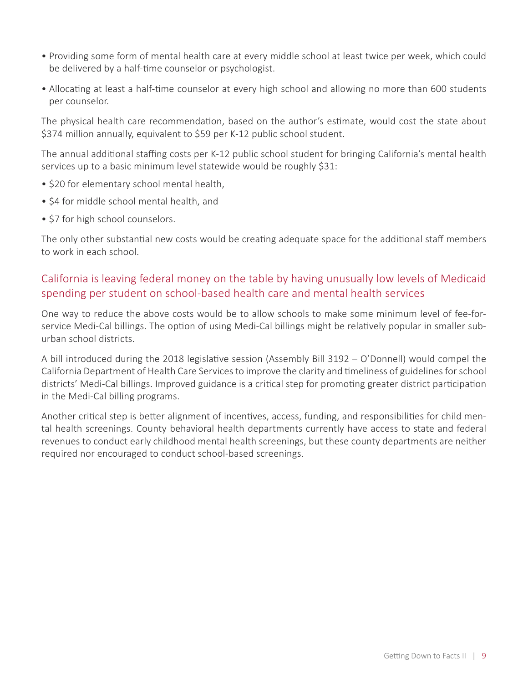- Providing some form of mental health care at every middle school at least twice per week, which could be delivered by a half-time counselor or psychologist.
- Allocating at least a half-time counselor at every high school and allowing no more than 600 students per counselor.

The physical health care recommendation, based on the author's estimate, would cost the state about \$374 million annually, equivalent to \$59 per K-12 public school student.

The annual additional staffing costs per K-12 public school student for bringing California's mental health services up to a basic minimum level statewide would be roughly \$31:

- \$20 for elementary school mental health,
- \$4 for middle school mental health, and
- \$7 for high school counselors.

The only other substantial new costs would be creating adequate space for the additional staff members to work in each school.

### California is leaving federal money on the table by having unusually low levels of Medicaid spending per student on school-based health care and mental health services

One way to reduce the above costs would be to allow schools to make some minimum level of fee-forservice Medi-Cal billings. The option of using Medi-Cal billings might be relatively popular in smaller suburban school districts.

A bill introduced during the 2018 legislative session (Assembly Bill 3192 – O'Donnell) would compel the California Department of Health Care Services to improve the clarity and timeliness of guidelines for school districts' Medi-Cal billings. Improved guidance is a critical step for promoting greater district participation in the Medi-Cal billing programs.

Another critical step is better alignment of incentives, access, funding, and responsibilities for child mental health screenings. County behavioral health departments currently have access to state and federal revenues to conduct early childhood mental health screenings, but these county departments are neither required nor encouraged to conduct school-based screenings.